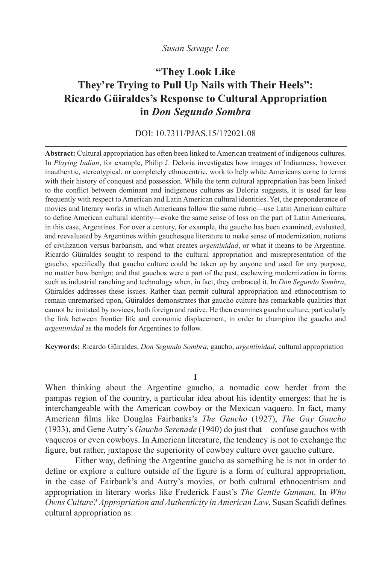## *Susan Savage Lee*

# **"They Look Like They're Trying to Pull Up Nails with Their Heels": Ricardo Güiraldes's Response to Cultural Appropriation in** *Don Segundo Sombra*

# DOI: 10.7311/PJAS.15/1?2021.08

**Abstract:** Cultural appropriation has often been linked to American treatment of indigenous cultures. In *Playing Indian*, for example, Philip J. Deloria investigates how images of Indianness, however inauthentic, stereotypical, or completely ethnocentric, work to help white Americans come to terms with their history of conquest and possession. While the term cultural appropriation has been linked to the conflict between dominant and indigenous cultures as Deloria suggests, it is used far less frequently with respect to American and Latin American cultural identities. Yet, the preponderance of movies and literary works in which Americans follow the same rubric––use Latin American culture to define American cultural identity––evoke the same sense of loss on the part of Latin Americans, in this case, Argentines. For over a century, for example, the gaucho has been examined, evaluated, and reevaluated by Argentines within gauchesque literature to make sense of modernization, notions of civilization versus barbarism, and what creates *argentinidad*, or what it means to be Argentine. Ricardo Güiraldes sought to respond to the cultural appropriation and misrepresentation of the gaucho, specifically that gaucho culture could be taken up by anyone and used for any purpose, no matter how benign; and that gauchos were a part of the past, eschewing modernization in forms such as industrial ranching and technology when, in fact, they embraced it. In *Don Segundo Sombra*, Güiraldes addresses these issues. Rather than permit cultural appropriation and ethnocentrism to remain unremarked upon, Güiraldes demonstrates that gaucho culture has remarkable qualities that cannot be imitated by novices, both foreign and native. He then examines gaucho culture, particularly the link between frontier life and economic displacement, in order to champion the gaucho and *argentinidad* as the models for Argentines to follow.

**Keywords:** Ricardo Güiraldes, *Don Segundo Sombra*, gaucho, *argentinidad*, cultural appropriation

**I**

When thinking about the Argentine gaucho, a nomadic cow herder from the pampas region of the country, a particular idea about his identity emerges: that he is interchangeable with the American cowboy or the Mexican vaquero. In fact, many American films like Douglas Fairbanks's *The Gaucho* (1927), *The Gay Gaucho* (1933), and Gene Autry's *Gaucho Serenade* (1940) do just that––confuse gauchos with vaqueros or even cowboys. In American literature, the tendency is not to exchange the figure, but rather, juxtapose the superiority of cowboy culture over gaucho culture.

Either way, defining the Argentine gaucho as something he is not in order to define or explore a culture outside of the figure is a form of cultural appropriation, in the case of Fairbank's and Autry's movies, or both cultural ethnocentrism and appropriation in literary works like Frederick Faust's *The Gentle Gunman*. In *Who Owns Culture? Appropriation and Authenticity in American Law*, Susan Scafidi defines cultural appropriation as: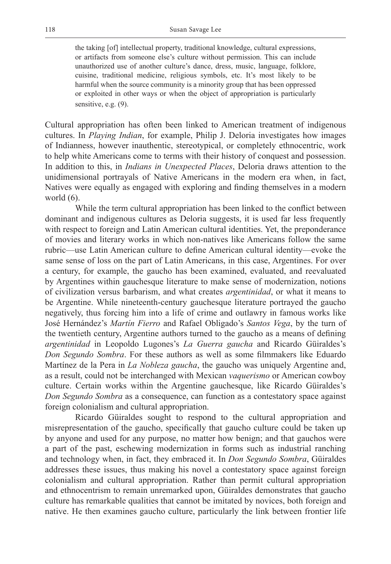the taking [of] intellectual property, traditional knowledge, cultural expressions, or artifacts from someone else's culture without permission. This can include unauthorized use of another culture's dance, dress, music, language, folklore, cuisine, traditional medicine, religious symbols, etc. It's most likely to be harmful when the source community is a minority group that has been oppressed or exploited in other ways or when the object of appropriation is particularly sensitive, e.g. (9).

Cultural appropriation has often been linked to American treatment of indigenous cultures. In *Playing Indian*, for example, Philip J. Deloria investigates how images of Indianness, however inauthentic, stereotypical, or completely ethnocentric, work to help white Americans come to terms with their history of conquest and possession. In addition to this, in *Indians in Unexpected Places*, Deloria draws attention to the unidimensional portrayals of Native Americans in the modern era when, in fact, Natives were equally as engaged with exploring and finding themselves in a modern world (6).

While the term cultural appropriation has been linked to the conflict between dominant and indigenous cultures as Deloria suggests, it is used far less frequently with respect to foreign and Latin American cultural identities. Yet, the preponderance of movies and literary works in which non-natives like Americans follow the same rubric––use Latin American culture to define American cultural identity––evoke the same sense of loss on the part of Latin Americans, in this case, Argentines. For over a century, for example, the gaucho has been examined, evaluated, and reevaluated by Argentines within gauchesque literature to make sense of modernization, notions of civilization versus barbarism, and what creates *argentinidad*, or what it means to be Argentine. While nineteenth-century gauchesque literature portrayed the gaucho negatively, thus forcing him into a life of crime and outlawry in famous works like José Hernández's *Martín Fierro* and Rafael Obligado's *Santos Vega*, by the turn of the twentieth century, Argentine authors turned to the gaucho as a means of defining *argentinidad* in Leopoldo Lugones's *La Guerra gaucha* and Ricardo Güiraldes's *Don Segundo Sombra*. For these authors as well as some filmmakers like Eduardo Martínez de la Pera in *La Nobleza gaucha*, the gaucho was uniquely Argentine and, as a result, could not be interchanged with Mexican *vaquerismo* or American cowboy culture. Certain works within the Argentine gauchesque, like Ricardo Güiraldes's *Don Segundo Sombra* as a consequence, can function as a contestatory space against foreign colonialism and cultural appropriation.

Ricardo Güiraldes sought to respond to the cultural appropriation and misrepresentation of the gaucho, specifically that gaucho culture could be taken up by anyone and used for any purpose, no matter how benign; and that gauchos were a part of the past, eschewing modernization in forms such as industrial ranching and technology when, in fact, they embraced it. In *Don Segundo Sombra*, Güiraldes addresses these issues, thus making his novel a contestatory space against foreign colonialism and cultural appropriation. Rather than permit cultural appropriation and ethnocentrism to remain unremarked upon, Güiraldes demonstrates that gaucho culture has remarkable qualities that cannot be imitated by novices, both foreign and native. He then examines gaucho culture, particularly the link between frontier life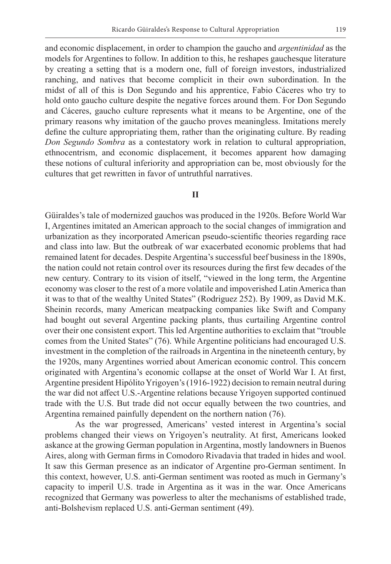and economic displacement, in order to champion the gaucho and *argentinidad* as the models for Argentines to follow. In addition to this, he reshapes gauchesque literature by creating a setting that is a modern one, full of foreign investors, industrialized ranching, and natives that become complicit in their own subordination. In the midst of all of this is Don Segundo and his apprentice, Fabio Cáceres who try to hold onto gaucho culture despite the negative forces around them. For Don Segundo and Cáceres, gaucho culture represents what it means to be Argentine, one of the primary reasons why imitation of the gaucho proves meaningless. Imitations merely define the culture appropriating them, rather than the originating culture. By reading *Don Segundo Sombra* as a contestatory work in relation to cultural appropriation, ethnocentrism, and economic displacement, it becomes apparent how damaging these notions of cultural inferiority and appropriation can be, most obviously for the cultures that get rewritten in favor of untruthful narratives.

#### **II**

Güiraldes's tale of modernized gauchos was produced in the 1920s. Before World War I, Argentines imitated an American approach to the social changes of immigration and urbanization as they incorporated American pseudo-scientific theories regarding race and class into law. But the outbreak of war exacerbated economic problems that had remained latent for decades. Despite Argentina's successful beef business in the 1890s, the nation could not retain control over its resources during the first few decades of the new century. Contrary to its vision of itself, "viewed in the long term, the Argentine economy was closer to the rest of a more volatile and impoverished Latin America than it was to that of the wealthy United States" (Rodriguez 252). By 1909, as David M.K. Sheinin records, many American meatpacking companies like Swift and Company had bought out several Argentine packing plants, thus curtailing Argentine control over their one consistent export. This led Argentine authorities to exclaim that "trouble comes from the United States" (76). While Argentine politicians had encouraged U.S. investment in the completion of the railroads in Argentina in the nineteenth century, by the 1920s, many Argentines worried about American economic control. This concern originated with Argentina's economic collapse at the onset of World War I. At first, Argentine president Hipólito Yrigoyen's (1916-1922) decision to remain neutral during the war did not affect U.S.-Argentine relations because Yrigoyen supported continued trade with the U.S. But trade did not occur equally between the two countries, and Argentina remained painfully dependent on the northern nation (76).

As the war progressed, Americans' vested interest in Argentina's social problems changed their views on Yrigoyen's neutrality. At first, Americans looked askance at the growing German population in Argentina, mostly landowners in Buenos Aires, along with German firms in Comodoro Rivadavia that traded in hides and wool. It saw this German presence as an indicator of Argentine pro-German sentiment. In this context, however, U.S. anti-German sentiment was rooted as much in Germany's capacity to imperil U.S. trade in Argentina as it was in the war. Once Americans recognized that Germany was powerless to alter the mechanisms of established trade, anti-Bolshevism replaced U.S. anti-German sentiment (49).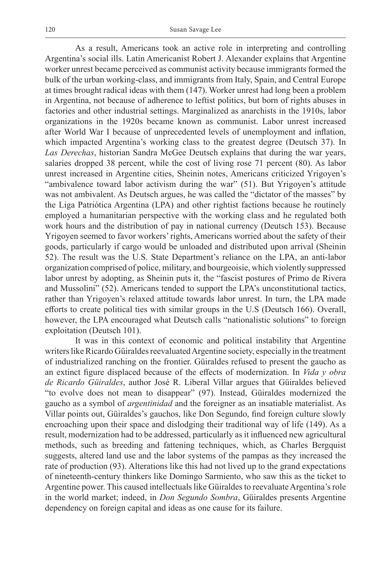As a result, Americans took an active role in interpreting and controlling Argentina's social ills. Latin Americanist Robert J. Alexander explains that Argentine worker unrest became perceived as communist activity because immigrants formed the bulk of the urban working-class, and immigrants from Italy, Spain, and Central Europe at times brought radical ideas with them (147). Worker unrest had long been a problem in Argentina, not because of adherence to leftist politics, but born of rights abuses in factories and other industrial settings. Marginalized as anarchists in the 1910s, labor organizations in the 1920s became known as communist. Labor unrest increased after World War I because of unprecedented levels of unemployment and inflation, which impacted Argentina's working class to the greatest degree (Deutsch 37). In *Las Derechas*, historian Sandra McGee Deutsch explains that during the war years, salaries dropped 38 percent, while the cost of living rose 71 percent (80). As labor unrest increased in Argentine cities, Sheinin notes, Americans criticized Yrigoyen's "ambivalence toward labor activism during the war" (51). But Yrigoyen's attitude was not ambivalent. As Deutsch argues, he was called the "dictator of the masses" by the Liga Patriótica Argentina (LPA) and other rightist factions because he routinely employed a humanitarian perspective with the working class and he regulated both work hours and the distribution of pay in national currency (Deutsch 153). Because Yrigoyen seemed to favor workers' rights, Americans worried about the safety of their goods, particularly if cargo would be unloaded and distributed upon arrival (Sheinin 52). The result was the U.S. State Department's reliance on the LPA, an anti-labor organization comprised of police, military, and bourgeoisie, which violently suppressed labor unrest by adopting, as Sheinin puts it, the "fascist postures of Primo de Rivera and Mussolini" (52). Americans tended to support the LPA's unconstitutional tactics, rather than Yrigoyen's relaxed attitude towards labor unrest. In turn, the LPA made efforts to create political ties with similar groups in the U.S (Deutsch 166). Overall, however, the LPA encouraged what Deutsch calls "nationalistic solutions" to foreign exploitation (Deutsch 101).

It was in this context of economic and political instability that Argentine writers like Ricardo Güiraldes reevaluated Argentine society, especially in the treatment of industrialized ranching on the frontier. Güiraldes refused to present the gaucho as an extinct figure displaced because of the effects of modernization. In *Vida y obra de Ricardo Güiraldes*, author José R. Liberal Villar argues that Güiraldes believed "to evolve does not mean to disappear" (97). Instead, Güiraldes modernized the gaucho as a symbol of *argentinidad* and the foreigner as an insatiable materialist. As Villar points out, Güiraldes's gauchos, like Don Segundo, find foreign culture slowly encroaching upon their space and dislodging their traditional way of life (149). As a result, modernization had to be addressed, particularly as it influenced new agricultural methods, such as breeding and fattening techniques, which, as Charles Bergquist suggests, altered land use and the labor systems of the pampas as they increased the rate of production (93). Alterations like this had not lived up to the grand expectations of nineteenth-century thinkers like Domingo Sarmiento, who saw this as the ticket to Argentine power. This caused intellectuals like Güiraldes to reevaluate Argentina's role in the world market; indeed, in *Don Segundo Sombra*, Güiraldes presents Argentine dependency on foreign capital and ideas as one cause for its failure.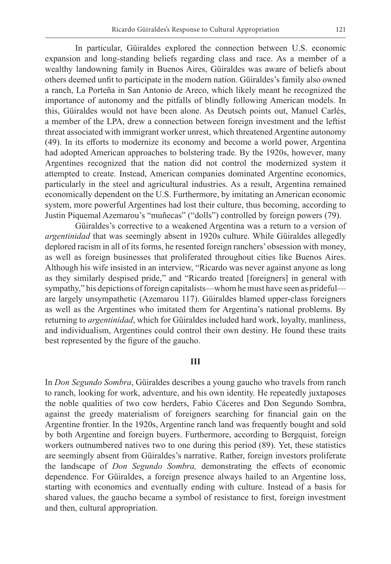In particular, Güiraldes explored the connection between U.S. economic expansion and long-standing beliefs regarding class and race. As a member of a wealthy landowning family in Buenos Aires, Güiraldes was aware of beliefs about others deemed unfit to participate in the modern nation. Güiraldes's family also owned a ranch, La Porteña in San Antonio de Areco, which likely meant he recognized the importance of autonomy and the pitfalls of blindly following American models. In this, Güiraldes would not have been alone. As Deutsch points out, Manuel Carlés, a member of the LPA, drew a connection between foreign investment and the leftist threat associated with immigrant worker unrest, which threatened Argentine autonomy (49). In its efforts to modernize its economy and become a world power, Argentina had adopted American approaches to bolstering trade. By the 1920s, however, many Argentines recognized that the nation did not control the modernized system it attempted to create. Instead, American companies dominated Argentine economics, particularly in the steel and agricultural industries. As a result, Argentina remained economically dependent on the U.S. Furthermore, by imitating an American economic system, more powerful Argentines had lost their culture, thus becoming, according to Justin Piquemal Azemarou's "muñecas" ("dolls") controlled by foreign powers (79).

Güiraldes's corrective to a weakened Argentina was a return to a version of *argentinidad* that was seemingly absent in 1920s culture. While Güiraldes allegedly deplored racism in all of its forms, he resented foreign ranchers' obsession with money, as well as foreign businesses that proliferated throughout cities like Buenos Aires. Although his wife insisted in an interview, "Ricardo was never against anyone as long as they similarly despised pride," and "Ricardo treated [foreigners] in general with sympathy," his depictions of foreign capitalists—whom he must have seen as prideful are largely unsympathetic (Azemarou 117). Güiraldes blamed upper-class foreigners as well as the Argentines who imitated them for Argentina's national problems. By returning to *argentinidad*, which for Güiraldes included hard work, loyalty, manliness, and individualism, Argentines could control their own destiny. He found these traits best represented by the figure of the gaucho.

#### **III**

In *Don Segundo Sombra*, Güiraldes describes a young gaucho who travels from ranch to ranch, looking for work, adventure, and his own identity. He repeatedly juxtaposes the noble qualities of two cow herders, Fabio Cáceres and Don Segundo Sombra, against the greedy materialism of foreigners searching for financial gain on the Argentine frontier. In the 1920s, Argentine ranch land was frequently bought and sold by both Argentine and foreign buyers. Furthermore, according to Bergquist, foreign workers outnumbered natives two to one during this period (89). Yet, these statistics are seemingly absent from Güiraldes's narrative. Rather, foreign investors proliferate the landscape of *Don Segundo Sombra,* demonstrating the effects of economic dependence. For Güiraldes, a foreign presence always hailed to an Argentine loss, starting with economics and eventually ending with culture. Instead of a basis for shared values, the gaucho became a symbol of resistance to first, foreign investment and then, cultural appropriation.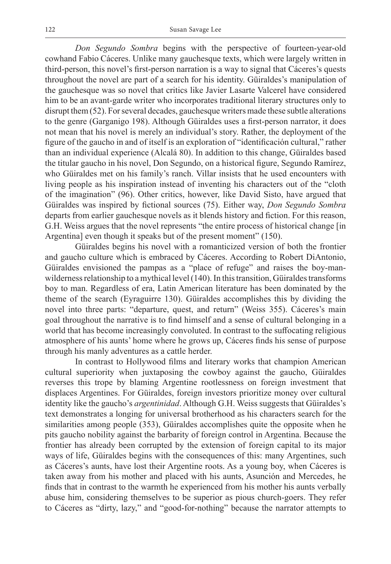*Don Segundo Sombra* begins with the perspective of fourteen-year-old cowhand Fabio Cáceres. Unlike many gauchesque texts, which were largely written in third-person, this novel's first-person narration is a way to signal that Cáceres's quests throughout the novel are part of a search for his identity. Güiraldes's manipulation of the gauchesque was so novel that critics like Javier Lasarte Valcerel have considered him to be an avant-garde writer who incorporates traditional literary structures only to disrupt them (52). For several decades, gauchesque writers made these subtle alterations to the genre (Garganigo 198). Although Güiraldes uses a first-person narrator, it does not mean that his novel is merely an individual's story. Rather, the deployment of the figure of the gaucho in and of itself is an exploration of "identificación cultural," rather than an individual experience (Alcalá 80). In addition to this change, Güiraldes based the titular gaucho in his novel, Don Segundo, on a historical figure, Segundo Ramírez, who Güiraldes met on his family's ranch. Villar insists that he used encounters with living people as his inspiration instead of inventing his characters out of the "cloth of the imagination" (96). Other critics, however, like David Sisto, have argued that Güiraldes was inspired by fictional sources (75). Either way, *Don Segundo Sombra* departs from earlier gauchesque novels as it blends history and fiction. For this reason, G.H. Weiss argues that the novel represents "the entire process of historical change [in Argentina] even though it speaks but of the present moment" (150).

Güiraldes begins his novel with a romanticized version of both the frontier and gaucho culture which is embraced by Cáceres. According to Robert DiAntonio, Güiraldes envisioned the pampas as a "place of refuge" and raises the boy-manwilderness relationship to a mythical level (140). In this transition, Güiraldes transforms boy to man. Regardless of era, Latin American literature has been dominated by the theme of the search (Eyraguirre 130). Güiraldes accomplishes this by dividing the novel into three parts: "departure, quest, and return" (Weiss 355). Cáceres's main goal throughout the narrative is to find himself and a sense of cultural belonging in a world that has become increasingly convoluted. In contrast to the suffocating religious atmosphere of his aunts' home where he grows up, Cáceres finds his sense of purpose through his manly adventures as a cattle herder.

In contrast to Hollywood films and literary works that champion American cultural superiority when juxtaposing the cowboy against the gaucho, Güiraldes reverses this trope by blaming Argentine rootlessness on foreign investment that displaces Argentines. For Güiraldes, foreign investors prioritize money over cultural identity like the gaucho's *argentinidad*. Although G.H. Weiss suggests that Güiraldes's text demonstrates a longing for universal brotherhood as his characters search for the similarities among people (353), Güiraldes accomplishes quite the opposite when he pits gaucho nobility against the barbarity of foreign control in Argentina. Because the frontier has already been corrupted by the extension of foreign capital to its major ways of life, Güiraldes begins with the consequences of this: many Argentines, such as Cáceres's aunts, have lost their Argentine roots. As a young boy, when Cáceres is taken away from his mother and placed with his aunts, Asunción and Mercedes, he finds that in contrast to the warmth he experienced from his mother his aunts verbally abuse him, considering themselves to be superior as pious church-goers. They refer to Cáceres as "dirty, lazy," and "good-for-nothing" because the narrator attempts to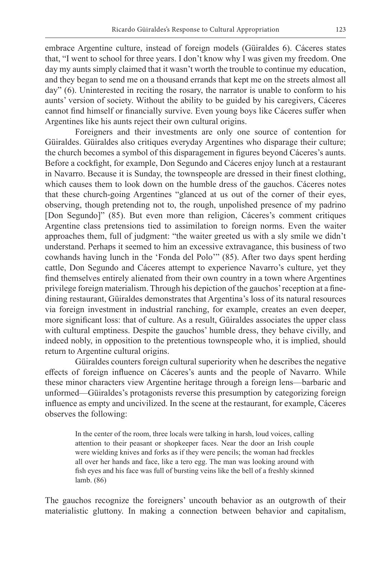embrace Argentine culture, instead of foreign models (Güiraldes 6). Cáceres states that, "I went to school for three years. I don't know why I was given my freedom. One day my aunts simply claimed that it wasn't worth the trouble to continue my education, and they began to send me on a thousand errands that kept me on the streets almost all day" (6). Uninterested in reciting the rosary, the narrator is unable to conform to his aunts' version of society. Without the ability to be guided by his caregivers, Cáceres cannot find himself or financially survive. Even young boys like Cáceres suffer when Argentines like his aunts reject their own cultural origins.

Foreigners and their investments are only one source of contention for Güiraldes. Güiraldes also critiques everyday Argentines who disparage their culture; the church becomes a symbol of this disparagement in figures beyond Cáceres's aunts. Before a cockfight, for example, Don Segundo and Cáceres enjoy lunch at a restaurant in Navarro. Because it is Sunday, the townspeople are dressed in their finest clothing, which causes them to look down on the humble dress of the gauchos. Cáceres notes that these church-going Argentines "glanced at us out of the corner of their eyes, observing, though pretending not to, the rough, unpolished presence of my padrino [Don Segundo]" (85). But even more than religion, Cáceres's comment critiques Argentine class pretensions tied to assimilation to foreign norms. Even the waiter approaches them, full of judgment: "the waiter greeted us with a sly smile we didn't understand. Perhaps it seemed to him an excessive extravagance, this business of two cowhands having lunch in the 'Fonda del Polo'" (85). After two days spent herding cattle, Don Segundo and Cáceres attempt to experience Navarro's culture, yet they find themselves entirely alienated from their own country in a town where Argentines privilege foreign materialism. Through his depiction of the gauchos' reception at a finedining restaurant, Güiraldes demonstrates that Argentina's loss of its natural resources via foreign investment in industrial ranching, for example, creates an even deeper, more significant loss: that of culture. As a result, Güiraldes associates the upper class with cultural emptiness. Despite the gauchos' humble dress, they behave civilly, and indeed nobly, in opposition to the pretentious townspeople who, it is implied, should return to Argentine cultural origins.

Güiraldes counters foreign cultural superiority when he describes the negative effects of foreign influence on Cáceres's aunts and the people of Navarro. While these minor characters view Argentine heritage through a foreign lens––barbaric and unformed––Güiraldes's protagonists reverse this presumption by categorizing foreign influence as empty and uncivilized. In the scene at the restaurant, for example, Cáceres observes the following:

In the center of the room, three locals were talking in harsh, loud voices, calling attention to their peasant or shopkeeper faces. Near the door an Irish couple were wielding knives and forks as if they were pencils; the woman had freckles all over her hands and face, like a tero egg. The man was looking around with fish eyes and his face was full of bursting veins like the bell of a freshly skinned lamb. (86)

The gauchos recognize the foreigners' uncouth behavior as an outgrowth of their materialistic gluttony. In making a connection between behavior and capitalism,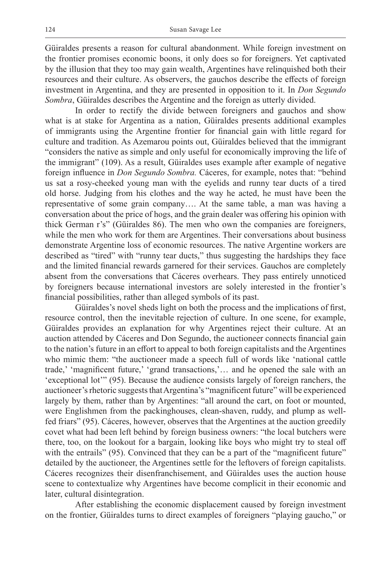Güiraldes presents a reason for cultural abandonment. While foreign investment on the frontier promises economic boons, it only does so for foreigners. Yet captivated by the illusion that they too may gain wealth, Argentines have relinquished both their resources and their culture. As observers, the gauchos describe the effects of foreign investment in Argentina, and they are presented in opposition to it. In *Don Segundo Sombra*, Güiraldes describes the Argentine and the foreign as utterly divided.

In order to rectify the divide between foreigners and gauchos and show what is at stake for Argentina as a nation, Güiraldes presents additional examples of immigrants using the Argentine frontier for financial gain with little regard for culture and tradition. As Azemarou points out, Güiraldes believed that the immigrant "considers the native as simple and only useful for economically improving the life of the immigrant" (109). As a result, Güiraldes uses example after example of negative foreign influence in *Don Segundo Sombra.* Cáceres, for example, notes that: "behind us sat a rosy-cheeked young man with the eyelids and runny tear ducts of a tired old horse. Judging from his clothes and the way he acted, he must have been the representative of some grain company…. At the same table, a man was having a conversation about the price of hogs, and the grain dealer was offering his opinion with thick German r's" (Güiraldes 86). The men who own the companies are foreigners, while the men who work for them are Argentines. Their conversations about business demonstrate Argentine loss of economic resources. The native Argentine workers are described as "tired" with "runny tear ducts," thus suggesting the hardships they face and the limited financial rewards garnered for their services. Gauchos are completely absent from the conversations that Cáceres overhears. They pass entirely unnoticed by foreigners because international investors are solely interested in the frontier's financial possibilities, rather than alleged symbols of its past.

Güiraldes's novel sheds light on both the process and the implications of first, resource control, then the inevitable rejection of culture. In one scene, for example, Güiraldes provides an explanation for why Argentines reject their culture. At an auction attended by Cáceres and Don Segundo, the auctioneer connects financial gain to the nation's future in an effort to appeal to both foreign capitalists and the Argentines who mimic them: "the auctioneer made a speech full of words like 'national cattle trade,' 'magnificent future,' 'grand transactions,'… and he opened the sale with an 'exceptional lot'" (95). Because the audience consists largely of foreign ranchers, the auctioneer's rhetoric suggests that Argentina's "magnificent future" will be experienced largely by them, rather than by Argentines: "all around the cart, on foot or mounted, were Englishmen from the packinghouses, clean-shaven, ruddy, and plump as wellfed friars" (95). Cáceres, however, observes that the Argentines at the auction greedily covet what had been left behind by foreign business owners: "the local butchers were there, too, on the lookout for a bargain, looking like boys who might try to steal off with the entrails" (95). Convinced that they can be a part of the "magnificent future" detailed by the auctioneer, the Argentines settle for the leftovers of foreign capitalists. Cáceres recognizes their disenfranchisement, and Güiraldes uses the auction house scene to contextualize why Argentines have become complicit in their economic and later, cultural disintegration.

After establishing the economic displacement caused by foreign investment on the frontier, Güiraldes turns to direct examples of foreigners "playing gaucho," or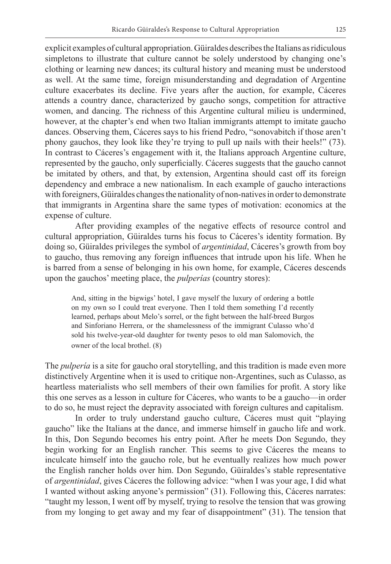explicit examples of cultural appropriation. Güiraldes describes the Italians as ridiculous simpletons to illustrate that culture cannot be solely understood by changing one's clothing or learning new dances; its cultural history and meaning must be understood as well. At the same time, foreign misunderstanding and degradation of Argentine culture exacerbates its decline. Five years after the auction, for example, Cáceres attends a country dance, characterized by gaucho songs, competition for attractive women, and dancing. The richness of this Argentine cultural milieu is undermined, however, at the chapter's end when two Italian immigrants attempt to imitate gaucho dances. Observing them, Cáceres says to his friend Pedro, "sonovabitch if those aren't phony gauchos, they look like they're trying to pull up nails with their heels!" (73). In contrast to Cáceres's engagement with it, the Italians approach Argentine culture, represented by the gaucho, only superficially. Cáceres suggests that the gaucho cannot be imitated by others, and that, by extension, Argentina should cast off its foreign dependency and embrace a new nationalism. In each example of gaucho interactions with foreigners, Güiraldes changes the nationality of non-natives in order to demonstrate that immigrants in Argentina share the same types of motivation: economics at the expense of culture.

After providing examples of the negative effects of resource control and cultural appropriation, Güiraldes turns his focus to Cáceres's identity formation. By doing so, Güiraldes privileges the symbol of *argentinidad*, Cáceres's growth from boy to gaucho, thus removing any foreign influences that intrude upon his life. When he is barred from a sense of belonging in his own home, for example, Cáceres descends upon the gauchos' meeting place, the *pulperías* (country stores):

And, sitting in the bigwigs' hotel, I gave myself the luxury of ordering a bottle on my own so I could treat everyone. Then I told them something I'd recently learned, perhaps about Melo's sorrel, or the fight between the half-breed Burgos and Sinforiano Herrera, or the shamelessness of the immigrant Culasso who'd sold his twelve-year-old daughter for twenty pesos to old man Salomovich, the owner of the local brothel. (8)

The *pulpería* is a site for gaucho oral storytelling, and this tradition is made even more distinctively Argentine when it is used to critique non-Argentines, such as Culasso, as heartless materialists who sell members of their own families for profit. A story like this one serves as a lesson in culture for Cáceres, who wants to be a gaucho––in order to do so, he must reject the depravity associated with foreign cultures and capitalism.

In order to truly understand gaucho culture, Cáceres must quit "playing gaucho" like the Italians at the dance, and immerse himself in gaucho life and work. In this, Don Segundo becomes his entry point. After he meets Don Segundo, they begin working for an English rancher. This seems to give Cáceres the means to inculcate himself into the gaucho role, but he eventually realizes how much power the English rancher holds over him. Don Segundo, Güiraldes's stable representative of *argentinidad*, gives Cáceres the following advice: "when I was your age, I did what I wanted without asking anyone's permission" (31). Following this, Cáceres narrates: "taught my lesson, I went off by myself, trying to resolve the tension that was growing from my longing to get away and my fear of disappointment" (31). The tension that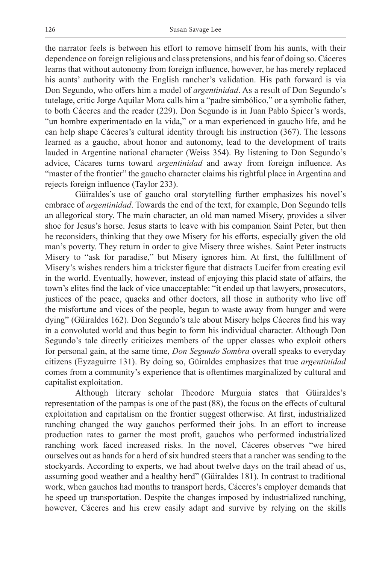the narrator feels is between his effort to remove himself from his aunts, with their dependence on foreign religious and class pretensions, and his fear of doing so. Cáceres learns that without autonomy from foreign influence, however, he has merely replaced his aunts' authority with the English rancher's validation. His path forward is via Don Segundo, who offers him a model of *argentinidad*. As a result of Don Segundo's tutelage, critic Jorge Aquilar Mora calls him a "padre simbólico," or a symbolic father, to both Cáceres and the reader (229). Don Segundo is in Juan Pablo Spicer's words, "un hombre experimentado en la vida," or a man experienced in gaucho life, and he can help shape Cáceres's cultural identity through his instruction (367). The lessons learned as a gaucho, about honor and autonomy, lead to the development of traits lauded in Argentine national character (Weiss 354). By listening to Don Segundo's advice, Cácares turns toward *argentinidad* and away from foreign influence. As "master of the frontier" the gaucho character claims his rightful place in Argentina and rejects foreign influence (Taylor 233).

Güiraldes's use of gaucho oral storytelling further emphasizes his novel's embrace of *argentinidad*. Towards the end of the text, for example, Don Segundo tells an allegorical story. The main character, an old man named Misery, provides a silver shoe for Jesus's horse. Jesus starts to leave with his companion Saint Peter, but then he reconsiders, thinking that they owe Misery for his efforts, especially given the old man's poverty. They return in order to give Misery three wishes. Saint Peter instructs Misery to "ask for paradise," but Misery ignores him. At first, the fulfillment of Misery's wishes renders him a trickster figure that distracts Lucifer from creating evil in the world. Eventually, however, instead of enjoying this placid state of affairs, the town's elites find the lack of vice unacceptable: "it ended up that lawyers, prosecutors, justices of the peace, quacks and other doctors, all those in authority who live off the misfortune and vices of the people, began to waste away from hunger and were dying" (Güiraldes 162). Don Segundo's tale about Misery helps Cáceres find his way in a convoluted world and thus begin to form his individual character. Although Don Segundo's tale directly criticizes members of the upper classes who exploit others for personal gain, at the same time, *Don Segundo Sombra* overall speaks to everyday citizens (Eyzaguirre 131). By doing so, Güiraldes emphasizes that true *argentinidad* comes from a community's experience that is oftentimes marginalized by cultural and capitalist exploitation.

Although literary scholar Theodore Murguia states that Güiraldes's representation of the pampas is one of the past (88), the focus on the effects of cultural exploitation and capitalism on the frontier suggest otherwise. At first, industrialized ranching changed the way gauchos performed their jobs. In an effort to increase production rates to garner the most profit, gauchos who performed industrialized ranching work faced increased risks. In the novel, Cáceres observes "we hired ourselves out as hands for a herd of six hundred steers that a rancher was sending to the stockyards. According to experts, we had about twelve days on the trail ahead of us, assuming good weather and a healthy herd" (Güiraldes 181). In contrast to traditional work, when gauchos had months to transport herds, Cáceres's employer demands that he speed up transportation. Despite the changes imposed by industrialized ranching, however, Cáceres and his crew easily adapt and survive by relying on the skills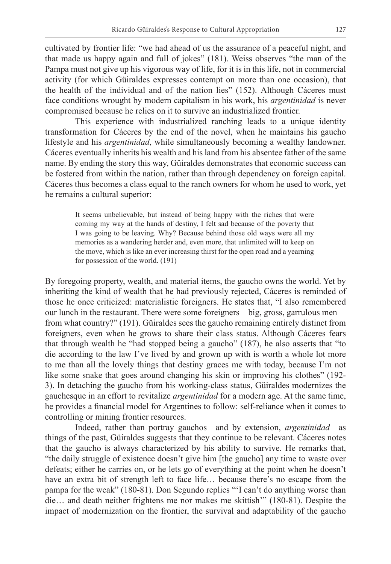cultivated by frontier life: "we had ahead of us the assurance of a peaceful night, and that made us happy again and full of jokes" (181). Weiss observes "the man of the Pampa must not give up his vigorous way of life, for it is in this life, not in commercial activity (for which Güiraldes expresses contempt on more than one occasion), that the health of the individual and of the nation lies" (152). Although Cáceres must face conditions wrought by modern capitalism in his work, his *argentinidad* is never compromised because he relies on it to survive an industrialized frontier.

This experience with industrialized ranching leads to a unique identity transformation for Cáceres by the end of the novel, when he maintains his gaucho lifestyle and his *argentinidad*, while simultaneously becoming a wealthy landowner. Cáceres eventually inherits his wealth and his land from his absentee father of the same name. By ending the story this way, Güiraldes demonstrates that economic success can be fostered from within the nation, rather than through dependency on foreign capital. Cáceres thus becomes a class equal to the ranch owners for whom he used to work, yet he remains a cultural superior:

It seems unbelievable, but instead of being happy with the riches that were coming my way at the hands of destiny, I felt sad because of the poverty that I was going to be leaving. Why? Because behind those old ways were all my memories as a wandering herder and, even more, that unlimited will to keep on the move, which is like an ever increasing thirst for the open road and a yearning for possession of the world. (191)

By foregoing property, wealth, and material items, the gaucho owns the world. Yet by inheriting the kind of wealth that he had previously rejected, Cáceres is reminded of those he once criticized: materialistic foreigners. He states that, "I also remembered our lunch in the restaurant. There were some foreigners––big, gross, garrulous men–– from what country?" (191). Güiraldes sees the gaucho remaining entirely distinct from foreigners, even when he grows to share their class status. Although Cáceres fears that through wealth he "had stopped being a gaucho" (187), he also asserts that "to die according to the law I've lived by and grown up with is worth a whole lot more to me than all the lovely things that destiny graces me with today, because I'm not like some snake that goes around changing his skin or improving his clothes" (192- 3). In detaching the gaucho from his working-class status, Güiraldes modernizes the gauchesque in an effort to revitalize *argentinidad* for a modern age. At the same time, he provides a financial model for Argentines to follow: self-reliance when it comes to controlling or mining frontier resources.

Indeed, rather than portray gauchos––and by extension, *argentinidad*––as things of the past, Güiraldes suggests that they continue to be relevant. Cáceres notes that the gaucho is always characterized by his ability to survive. He remarks that, "the daily struggle of existence doesn't give him [the gaucho] any time to waste over defeats; either he carries on, or he lets go of everything at the point when he doesn't have an extra bit of strength left to face life… because there's no escape from the pampa for the weak" (180-81). Don Segundo replies "'I can't do anything worse than die… and death neither frightens me nor makes me skittish'" (180-81). Despite the impact of modernization on the frontier, the survival and adaptability of the gaucho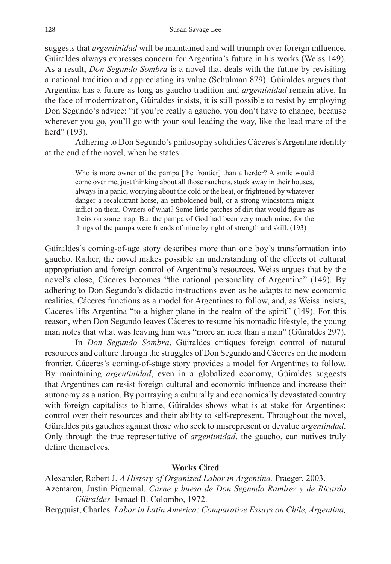suggests that *argentinidad* will be maintained and will triumph over foreign influence. Güiraldes always expresses concern for Argentina's future in his works (Weiss 149). As a result, *Don Segundo Sombra* is a novel that deals with the future by revisiting a national tradition and appreciating its value (Schulman 879). Güiraldes argues that Argentina has a future as long as gaucho tradition and *argentinidad* remain alive. In the face of modernization, Güiraldes insists, it is still possible to resist by employing Don Segundo's advice: "if you're really a gaucho, you don't have to change, because wherever you go, you'll go with your soul leading the way, like the lead mare of the herd" (193).

Adhering to Don Segundo's philosophy solidifies Cáceres's Argentine identity at the end of the novel, when he states:

Who is more owner of the pampa [the frontier] than a herder? A smile would come over me, just thinking about all those ranchers, stuck away in their houses, always in a panic, worrying about the cold or the heat, or frightened by whatever danger a recalcitrant horse, an emboldened bull, or a strong windstorm might inflict on them. Owners of what? Some little patches of dirt that would figure as theirs on some map. But the pampa of God had been very much mine, for the things of the pampa were friends of mine by right of strength and skill. (193)

Güiraldes's coming-of-age story describes more than one boy's transformation into gaucho. Rather, the novel makes possible an understanding of the effects of cultural appropriation and foreign control of Argentina's resources. Weiss argues that by the novel's close, Cáceres becomes "the national personality of Argentina" (149). By adhering to Don Segundo's didactic instructions even as he adapts to new economic realities, Cáceres functions as a model for Argentines to follow, and, as Weiss insists, Cáceres lifts Argentina "to a higher plane in the realm of the spirit" (149). For this reason, when Don Segundo leaves Cáceres to resume his nomadic lifestyle, the young man notes that what was leaving him was "more an idea than a man" (Güiraldes 297).

In *Don Segundo Sombra*, Güiraldes critiques foreign control of natural resources and culture through the struggles of Don Segundo and Cáceres on the modern frontier. Cáceres's coming-of-stage story provides a model for Argentines to follow. By maintaining *argentinidad*, even in a globalized economy, Güiraldes suggests that Argentines can resist foreign cultural and economic influence and increase their autonomy as a nation. By portraying a culturally and economically devastated country with foreign capitalists to blame, Güiraldes shows what is at stake for Argentines: control over their resources and their ability to self-represent. Throughout the novel, Güiraldes pits gauchos against those who seek to misrepresent or devalue *argentindad*. Only through the true representative of *argentinidad*, the gaucho, can natives truly define themselves.

### **Works Cited**

Alexander, Robert J. *A History of Organized Labor in Argentina.* Praeger, 2003. Azemarou, Justin Piquemal. *Carne y hueso de Don Segundo Ramírez y de Ricardo Güiraldes.* Ismael B. Colombo, 1972.

Bergquist, Charles. *Labor in Latin America: Comparative Essays on Chile, Argentina,*